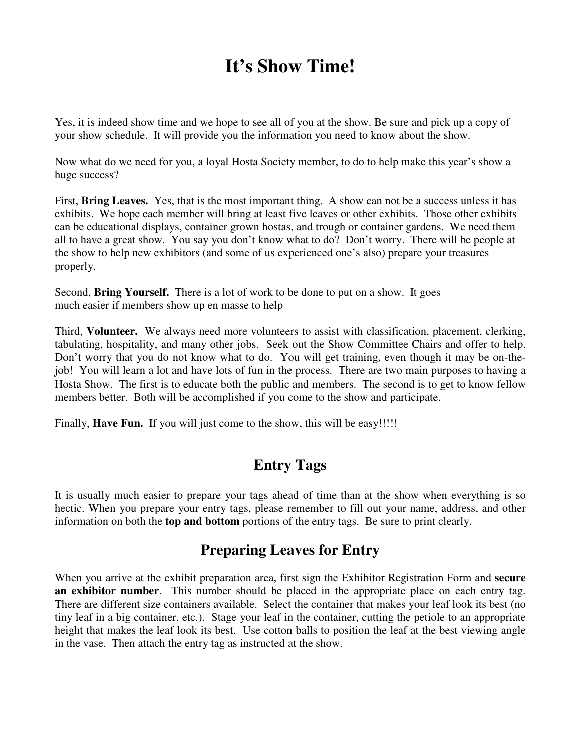# **It's Show Time!**

Yes, it is indeed show time and we hope to see all of you at the show. Be sure and pick up a copy of your show schedule. It will provide you the information you need to know about the show.

Now what do we need for you, a loyal Hosta Society member, to do to help make this year's show a huge success?

First, **Bring Leaves.** Yes, that is the most important thing. A show can not be a success unless it has exhibits. We hope each member will bring at least five leaves or other exhibits. Those other exhibits can be educational displays, container grown hostas, and trough or container gardens. We need them all to have a great show. You say you don't know what to do? Don't worry. There will be people at the show to help new exhibitors (and some of us experienced one's also) prepare your treasures properly.

Second, **Bring Yourself.** There is a lot of work to be done to put on a show. It goes much easier if members show up en masse to help

Third, **Volunteer.** We always need more volunteers to assist with classification, placement, clerking, tabulating, hospitality, and many other jobs. Seek out the Show Committee Chairs and offer to help. Don't worry that you do not know what to do. You will get training, even though it may be on-thejob! You will learn a lot and have lots of fun in the process. There are two main purposes to having a Hosta Show. The first is to educate both the public and members. The second is to get to know fellow members better. Both will be accomplished if you come to the show and participate.

Finally, **Have Fun.** If you will just come to the show, this will be easy!!!!!

## **Entry Tags**

It is usually much easier to prepare your tags ahead of time than at the show when everything is so hectic. When you prepare your entry tags, please remember to fill out your name, address, and other information on both the **top and bottom** portions of the entry tags. Be sure to print clearly.

## **Preparing Leaves for Entry**

When you arrive at the exhibit preparation area, first sign the Exhibitor Registration Form and **secure an exhibitor number**. This number should be placed in the appropriate place on each entry tag. There are different size containers available. Select the container that makes your leaf look its best (no tiny leaf in a big container. etc.). Stage your leaf in the container, cutting the petiole to an appropriate height that makes the leaf look its best. Use cotton balls to position the leaf at the best viewing angle in the vase. Then attach the entry tag as instructed at the show.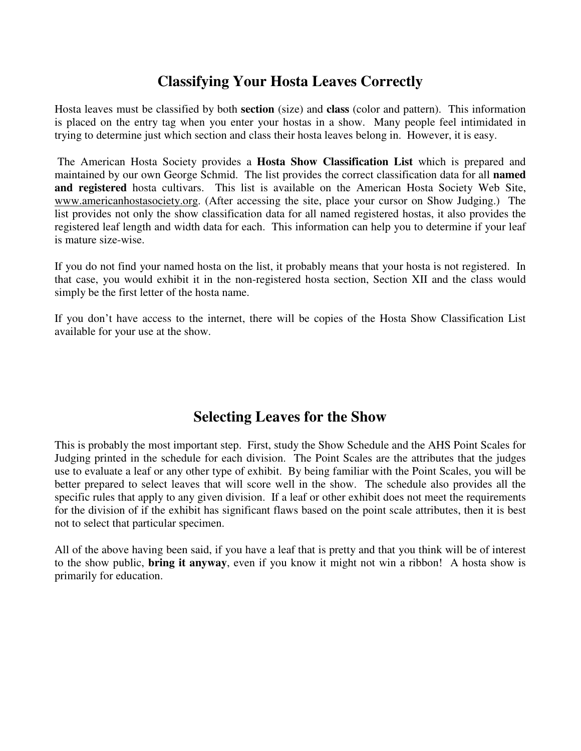### **Classifying Your Hosta Leaves Correctly**

Hosta leaves must be classified by both **section** (size) and **class** (color and pattern). This information is placed on the entry tag when you enter your hostas in a show. Many people feel intimidated in trying to determine just which section and class their hosta leaves belong in. However, it is easy.

 The American Hosta Society provides a **Hosta Show Classification List** which is prepared and maintained by our own George Schmid. The list provides the correct classification data for all **named and registered** hosta cultivars. This list is available on the American Hosta Society Web Site, www.americanhostasociety.org. (After accessing the site, place your cursor on Show Judging.) The list provides not only the show classification data for all named registered hostas, it also provides the registered leaf length and width data for each. This information can help you to determine if your leaf is mature size-wise.

If you do not find your named hosta on the list, it probably means that your hosta is not registered. In that case, you would exhibit it in the non-registered hosta section, Section XII and the class would simply be the first letter of the hosta name.

If you don't have access to the internet, there will be copies of the Hosta Show Classification List available for your use at the show.

### **Selecting Leaves for the Show**

This is probably the most important step. First, study the Show Schedule and the AHS Point Scales for Judging printed in the schedule for each division. The Point Scales are the attributes that the judges use to evaluate a leaf or any other type of exhibit. By being familiar with the Point Scales, you will be better prepared to select leaves that will score well in the show. The schedule also provides all the specific rules that apply to any given division. If a leaf or other exhibit does not meet the requirements for the division of if the exhibit has significant flaws based on the point scale attributes, then it is best not to select that particular specimen.

All of the above having been said, if you have a leaf that is pretty and that you think will be of interest to the show public, **bring it anyway**, even if you know it might not win a ribbon! A hosta show is primarily for education.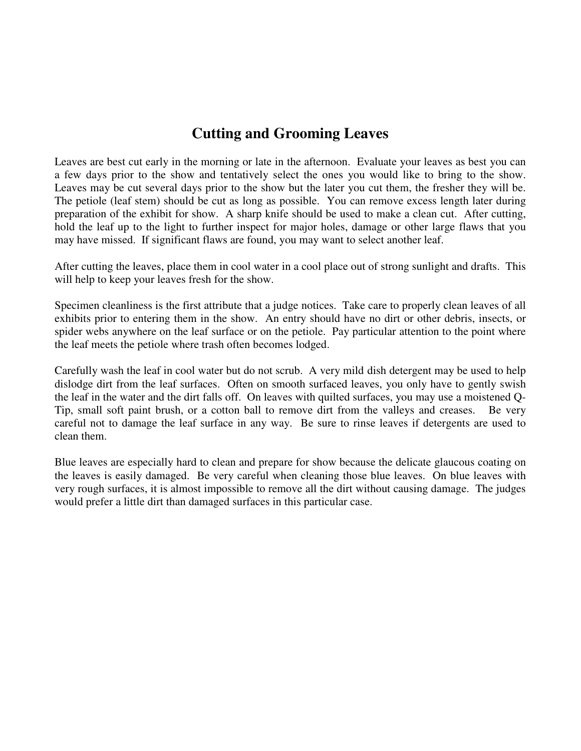### **Cutting and Grooming Leaves**

Leaves are best cut early in the morning or late in the afternoon. Evaluate your leaves as best you can a few days prior to the show and tentatively select the ones you would like to bring to the show. Leaves may be cut several days prior to the show but the later you cut them, the fresher they will be. The petiole (leaf stem) should be cut as long as possible. You can remove excess length later during preparation of the exhibit for show. A sharp knife should be used to make a clean cut. After cutting, hold the leaf up to the light to further inspect for major holes, damage or other large flaws that you may have missed. If significant flaws are found, you may want to select another leaf.

After cutting the leaves, place them in cool water in a cool place out of strong sunlight and drafts. This will help to keep your leaves fresh for the show.

Specimen cleanliness is the first attribute that a judge notices. Take care to properly clean leaves of all exhibits prior to entering them in the show. An entry should have no dirt or other debris, insects, or spider webs anywhere on the leaf surface or on the petiole. Pay particular attention to the point where the leaf meets the petiole where trash often becomes lodged.

Carefully wash the leaf in cool water but do not scrub. A very mild dish detergent may be used to help dislodge dirt from the leaf surfaces. Often on smooth surfaced leaves, you only have to gently swish the leaf in the water and the dirt falls off. On leaves with quilted surfaces, you may use a moistened Q-Tip, small soft paint brush, or a cotton ball to remove dirt from the valleys and creases. Be very careful not to damage the leaf surface in any way. Be sure to rinse leaves if detergents are used to clean them.

Blue leaves are especially hard to clean and prepare for show because the delicate glaucous coating on the leaves is easily damaged. Be very careful when cleaning those blue leaves. On blue leaves with very rough surfaces, it is almost impossible to remove all the dirt without causing damage. The judges would prefer a little dirt than damaged surfaces in this particular case.